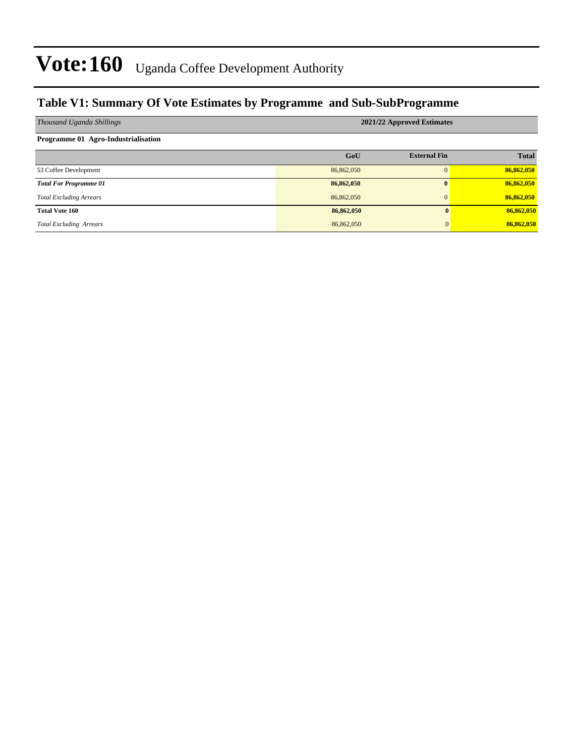### **Table V1: Summary Of Vote Estimates by Programme and Sub-SubProgramme**

| Thousand Uganda Shillings           | 2021/22 Approved Estimates |                     |              |  |  |  |  |  |
|-------------------------------------|----------------------------|---------------------|--------------|--|--|--|--|--|
| Programme 01 Agro-Industrialisation |                            |                     |              |  |  |  |  |  |
|                                     | GoU                        | <b>External Fin</b> | <b>Total</b> |  |  |  |  |  |
| 53 Coffee Development               | 86,862,050                 |                     | 86,862,050   |  |  |  |  |  |
| <b>Total For Programme 01</b>       | 86,862,050                 |                     | 86,862,050   |  |  |  |  |  |
| <b>Total Excluding Arrears</b>      | 86,862,050                 |                     | 86,862,050   |  |  |  |  |  |
| <b>Total Vote 160</b>               | 86,862,050                 | 0                   | 86,862,050   |  |  |  |  |  |
| <b>Total Excluding Arrears</b>      | 86,862,050                 | $\overline{0}$      | 86,862,050   |  |  |  |  |  |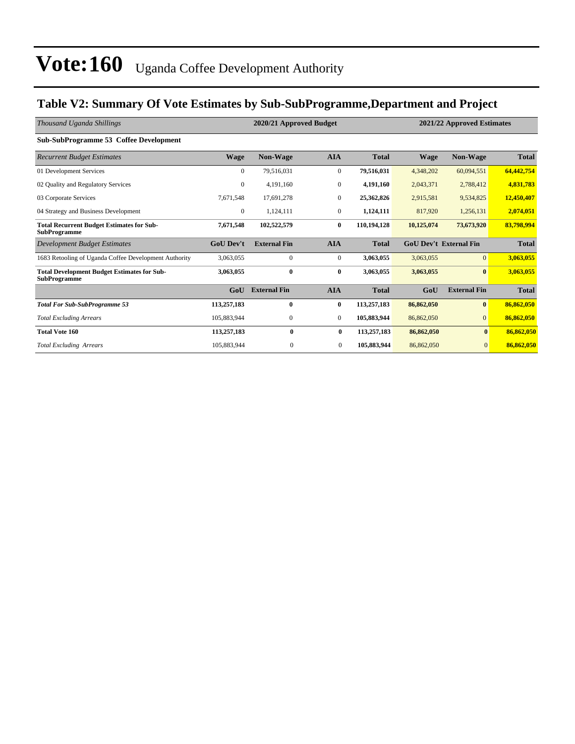## **Table V2: Summary Of Vote Estimates by Sub-SubProgramme,Department and Project**

| Thousand Uganda Shillings                                                 |                  | 2020/21 Approved Budget |                  |              | 2021/22 Approved Estimates |                               |              |  |
|---------------------------------------------------------------------------|------------------|-------------------------|------------------|--------------|----------------------------|-------------------------------|--------------|--|
| Sub-SubProgramme 53 Coffee Development                                    |                  |                         |                  |              |                            |                               |              |  |
| <b>Recurrent Budget Estimates</b>                                         | Wage             | <b>Non-Wage</b>         | <b>AIA</b>       | <b>Total</b> | <b>Wage</b>                | <b>Non-Wage</b>               | <b>Total</b> |  |
| 01 Development Services                                                   | $\mathbf{0}$     | 79.516.031              | $\mathbf{0}$     | 79,516,031   | 4,348,202                  | 60,094,551                    | 64,442,754   |  |
| 02 Quality and Regulatory Services                                        | $\boldsymbol{0}$ | 4,191,160               | $\mathbf{0}$     | 4,191,160    | 2,043,371                  | 2,788,412                     | 4,831,783    |  |
| 03 Corporate Services                                                     | 7,671,548        | 17,691,278              | $\boldsymbol{0}$ | 25,362,826   | 2,915,581                  | 9,534,825                     | 12,450,407   |  |
| 04 Strategy and Business Development                                      | $\bf{0}$         | 1,124,111               | $\overline{0}$   | 1,124,111    | 817,920                    | 1,256,131                     | 2,074,051    |  |
| <b>Total Recurrent Budget Estimates for Sub-</b><br><b>SubProgramme</b>   | 7,671,548        | 102,522,579             | $\bf{0}$         | 110,194,128  | 10,125,074                 | 73,673,920                    | 83,798,994   |  |
| Development Budget Estimates                                              | <b>GoU</b> Dev't | <b>External Fin</b>     | <b>AIA</b>       | <b>Total</b> |                            | <b>GoU Dev't External Fin</b> | <b>Total</b> |  |
| 1683 Retooling of Uganda Coffee Development Authority                     | 3,063,055        | $\mathbf{0}$            | $\boldsymbol{0}$ | 3,063,055    | 3,063,055                  | $\vert 0 \vert$               | 3,063,055    |  |
| <b>Total Development Budget Estimates for Sub-</b><br><b>SubProgramme</b> | 3,063,055        | $\bf{0}$                | $\bf{0}$         | 3,063,055    | 3,063,055                  | $\bf{0}$                      | 3,063,055    |  |
|                                                                           | GoU              | <b>External Fin</b>     | <b>AIA</b>       | <b>Total</b> | GoU                        | <b>External Fin</b>           | <b>Total</b> |  |
| <b>Total For Sub-SubProgramme 53</b>                                      | 113,257,183      | $\bf{0}$                | $\bf{0}$         | 113,257,183  | 86,862,050                 | $\bf{0}$                      | 86,862,050   |  |
| <b>Total Excluding Arrears</b>                                            | 105,883,944      | $\mathbf{0}$            | $\overline{0}$   | 105,883,944  | 86,862,050                 | $\overline{0}$                | 86,862,050   |  |
| <b>Total Vote 160</b>                                                     | 113,257,183      | 0                       | $\bf{0}$         | 113,257,183  | 86,862,050                 | $\bf{0}$                      | 86,862,050   |  |
| <b>Total Excluding Arrears</b>                                            | 105,883,944      | $\mathbf{0}$            | $\mathbf{0}$     | 105,883,944  | 86,862,050                 | $\mathbf{0}$                  | 86,862,050   |  |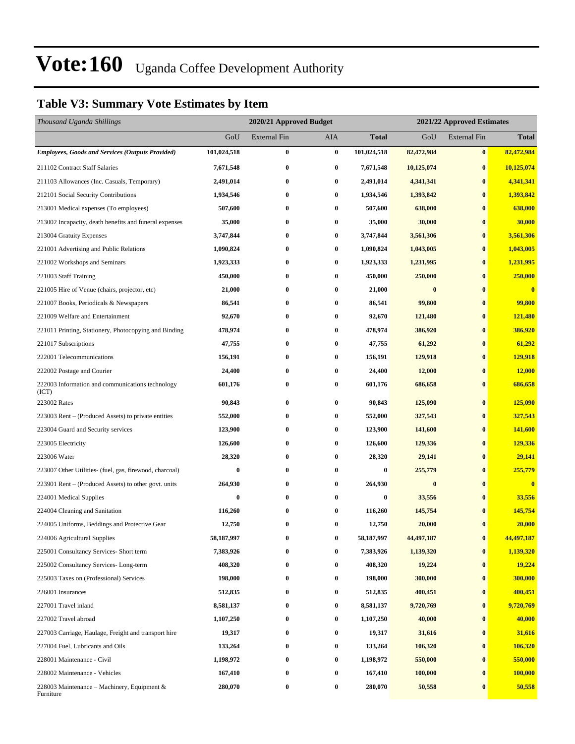## **Table V3: Summary Vote Estimates by Item**

| Thousand Uganda Shillings                                 |             | 2020/21 Approved Budget |                  |              |            | 2021/22 Approved Estimates |              |  |  |
|-----------------------------------------------------------|-------------|-------------------------|------------------|--------------|------------|----------------------------|--------------|--|--|
|                                                           | GoU         | External Fin            | AIA              | <b>Total</b> | GoU        | <b>External Fin</b>        | <b>Total</b> |  |  |
| <b>Employees, Goods and Services (Outputs Provided)</b>   | 101,024,518 | 0                       | $\bf{0}$         | 101,024,518  | 82,472,984 | $\bf{0}$                   | 82,472,984   |  |  |
| 211102 Contract Staff Salaries                            | 7,671,548   | 0                       | $\bf{0}$         | 7,671,548    | 10,125,074 | $\bf{0}$                   | 10,125,074   |  |  |
| 211103 Allowances (Inc. Casuals, Temporary)               | 2,491,014   | $\bf{0}$                | $\boldsymbol{0}$ | 2,491,014    | 4,341,341  | $\bf{0}$                   | 4,341,341    |  |  |
| 212101 Social Security Contributions                      | 1,934,546   | $\bf{0}$                | $\bf{0}$         | 1,934,546    | 1,393,842  | $\bf{0}$                   | 1,393,842    |  |  |
| 213001 Medical expenses (To employees)                    | 507,600     | $\bf{0}$                | 0                | 507,600      | 638,000    | $\bf{0}$                   | 638,000      |  |  |
| 213002 Incapacity, death benefits and funeral expenses    | 35,000      | $\bf{0}$                | $\bf{0}$         | 35,000       | 30,000     | $\bf{0}$                   | 30,000       |  |  |
| 213004 Gratuity Expenses                                  | 3,747,844   | 0                       | $\bf{0}$         | 3,747,844    | 3,561,306  | $\bf{0}$                   | 3,561,306    |  |  |
| 221001 Advertising and Public Relations                   | 1,090,824   | $\bf{0}$                | $\bf{0}$         | 1,090,824    | 1,043,005  | $\bf{0}$                   | 1,043,005    |  |  |
| 221002 Workshops and Seminars                             | 1,923,333   | $\bf{0}$                | $\bf{0}$         | 1,923,333    | 1,231,995  | $\bf{0}$                   | 1,231,995    |  |  |
| 221003 Staff Training                                     | 450,000     | $\bf{0}$                | $\bf{0}$         | 450,000      | 250,000    | $\bf{0}$                   | 250,000      |  |  |
| 221005 Hire of Venue (chairs, projector, etc)             | 21,000      | $\bf{0}$                | $\bf{0}$         | 21,000       | $\bf{0}$   | $\bf{0}$                   | $\bf{0}$     |  |  |
| 221007 Books, Periodicals & Newspapers                    | 86,541      | 0                       | $\bf{0}$         | 86,541       | 99,800     | $\bf{0}$                   | 99,800       |  |  |
| 221009 Welfare and Entertainment                          | 92,670      | $\bf{0}$                | $\bf{0}$         | 92,670       | 121,480    | $\bf{0}$                   | 121,480      |  |  |
| 221011 Printing, Stationery, Photocopying and Binding     | 478,974     | $\bf{0}$                | $\bf{0}$         | 478,974      | 386,920    | $\bf{0}$                   | 386,920      |  |  |
| 221017 Subscriptions                                      | 47,755      | $\bf{0}$                | $\bf{0}$         | 47,755       | 61,292     | $\bf{0}$                   | 61,292       |  |  |
| 222001 Telecommunications                                 | 156,191     | $\bf{0}$                | $\bf{0}$         | 156,191      | 129,918    | $\bf{0}$                   | 129,918      |  |  |
| 222002 Postage and Courier                                | 24,400      | 0                       | $\bf{0}$         | 24,400       | 12,000     | $\bf{0}$                   | 12,000       |  |  |
| 222003 Information and communications technology<br>(ICT) | 601,176     | $\bf{0}$                | $\bf{0}$         | 601,176      | 686,658    | $\bf{0}$                   | 686,658      |  |  |
| 223002 Rates                                              | 90,843      | $\bf{0}$                | $\bf{0}$         | 90,843       | 125,090    | $\bf{0}$                   | 125,090      |  |  |
| 223003 Rent - (Produced Assets) to private entities       | 552,000     | $\bf{0}$                | $\bf{0}$         | 552,000      | 327,543    | $\bf{0}$                   | 327,543      |  |  |
| 223004 Guard and Security services                        | 123,900     | $\bf{0}$                | $\boldsymbol{0}$ | 123,900      | 141,600    | $\bf{0}$                   | 141,600      |  |  |
| 223005 Electricity                                        | 126,600     | $\bf{0}$                | $\bf{0}$         | 126,600      | 129,336    | $\bf{0}$                   | 129,336      |  |  |
| 223006 Water                                              | 28,320      | $\bf{0}$                | $\boldsymbol{0}$ | 28,320       | 29,141     | $\bf{0}$                   | 29,141       |  |  |
| 223007 Other Utilities- (fuel, gas, firewood, charcoal)   | 0           | $\bf{0}$                | $\bf{0}$         | $\bf{0}$     | 255,779    | $\bf{0}$                   | 255,779      |  |  |
| 223901 Rent – (Produced Assets) to other govt. units      | 264,930     | $\bf{0}$                | 0                | 264,930      | $\bf{0}$   | $\bf{0}$                   | $\bf{0}$     |  |  |
| 224001 Medical Supplies                                   | 0           | $\bf{0}$                | $\bf{0}$         | $\bf{0}$     | 33,556     | $\bf{0}$                   | 33,556       |  |  |
| 224004 Cleaning and Sanitation                            | 116,260     | $\bf{0}$                | $\bf{0}$         | 116,260      | 145,754    | $\bf{0}$                   | 145,754      |  |  |
| 224005 Uniforms, Beddings and Protective Gear             | 12,750      | $\bf{0}$                | $\bf{0}$         | 12,750       | 20,000     | $\bf{0}$                   | 20,000       |  |  |
| 224006 Agricultural Supplies                              | 58,187,997  | 0                       | $\pmb{0}$        | 58,187,997   | 44,497,187 | $\boldsymbol{0}$           | 44,497,187   |  |  |
| 225001 Consultancy Services- Short term                   | 7,383,926   | 0                       | 0                | 7,383,926    | 1,139,320  | $\bf{0}$                   | 1,139,320    |  |  |
| 225002 Consultancy Services-Long-term                     | 408,320     | $\bf{0}$                | $\boldsymbol{0}$ | 408,320      | 19,224     | $\bf{0}$                   | 19,224       |  |  |
| 225003 Taxes on (Professional) Services                   | 198,000     | $\bf{0}$                | $\bf{0}$         | 198,000      | 300,000    | $\bf{0}$                   | 300,000      |  |  |
| 226001 Insurances                                         | 512,835     | $\bf{0}$                | $\bf{0}$         | 512,835      | 400,451    | $\bf{0}$                   | 400,451      |  |  |
| 227001 Travel inland                                      | 8,581,137   | $\bf{0}$                | $\bf{0}$         | 8,581,137    | 9,720,769  | $\bf{0}$                   | 9,720,769    |  |  |
| 227002 Travel abroad                                      | 1,107,250   | $\bf{0}$                | $\bf{0}$         | 1,107,250    | 40,000     | $\bf{0}$                   | 40,000       |  |  |
| 227003 Carriage, Haulage, Freight and transport hire      | 19,317      | $\bf{0}$                | $\bf{0}$         | 19,317       | 31,616     | $\bf{0}$                   | 31,616       |  |  |
| 227004 Fuel, Lubricants and Oils                          | 133,264     | $\bf{0}$                | $\bf{0}$         | 133,264      | 106,320    | $\bf{0}$                   | 106,320      |  |  |
| 228001 Maintenance - Civil                                | 1,198,972   | $\bf{0}$                | $\bf{0}$         | 1,198,972    | 550,000    | $\bf{0}$                   | 550,000      |  |  |
| 228002 Maintenance - Vehicles                             | 167,410     | 0                       | $\bf{0}$         | 167,410      | 100,000    | $\bf{0}$                   | 100,000      |  |  |
| 228003 Maintenance – Machinery, Equipment &<br>Furniture  | 280,070     | $\bf{0}$                | $\bf{0}$         | 280,070      | 50,558     | $\bf{0}$                   | 50,558       |  |  |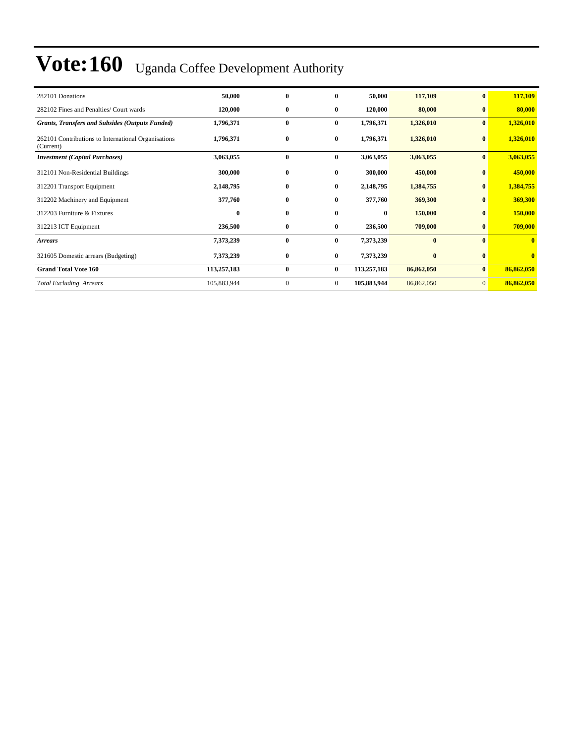| 282101 Donations                                                 | 50,000      | $\bf{0}$     | 0              | 50,000      | 117,109    | $\bf{0}$       | 117,109    |
|------------------------------------------------------------------|-------------|--------------|----------------|-------------|------------|----------------|------------|
| 282102 Fines and Penalties/ Court wards                          | 120,000     | $\bf{0}$     | $\bf{0}$       | 120,000     | 80,000     | $\bf{0}$       | 80,000     |
| <b>Grants, Transfers and Subsides (Outputs Funded)</b>           | 1,796,371   | $\bf{0}$     | $\bf{0}$       | 1,796,371   | 1,326,010  | $\bf{0}$       | 1,326,010  |
| 262101 Contributions to International Organisations<br>(Current) | 1,796,371   | $\bf{0}$     | $\bf{0}$       | 1,796,371   | 1,326,010  | $\bf{0}$       | 1,326,010  |
| <b>Investment</b> (Capital Purchases)                            | 3,063,055   | $\bf{0}$     | $\bf{0}$       | 3,063,055   | 3,063,055  | $\bf{0}$       | 3,063,055  |
| 312101 Non-Residential Buildings                                 | 300,000     | $\bf{0}$     | $\bf{0}$       | 300,000     | 450,000    | $\bf{0}$       | 450,000    |
| 312201 Transport Equipment                                       | 2,148,795   | $\bf{0}$     | $\bf{0}$       | 2,148,795   | 1,384,755  | $\bf{0}$       | 1,384,755  |
| 312202 Machinery and Equipment                                   | 377,760     | $\bf{0}$     | $\bf{0}$       | 377,760     | 369,300    | $\bf{0}$       | 369,300    |
| 312203 Furniture & Fixtures                                      | $\bf{0}$    | $\bf{0}$     | $\bf{0}$       | $\bf{0}$    | 150,000    | $\bf{0}$       | 150,000    |
| 312213 ICT Equipment                                             | 236,500     | $\bf{0}$     | $\bf{0}$       | 236,500     | 709,000    | $\bf{0}$       | 709,000    |
| <b>Arrears</b>                                                   | 7,373,239   | $\bf{0}$     | $\bf{0}$       | 7,373,239   | $\bf{0}$   | $\mathbf{0}$   | $\bf{0}$   |
| 321605 Domestic arrears (Budgeting)                              | 7,373,239   | $\bf{0}$     | $\bf{0}$       | 7,373,239   | $\bf{0}$   | $\mathbf{0}$   | $\bf{0}$   |
| <b>Grand Total Vote 160</b>                                      | 113,257,183 | $\bf{0}$     | $\bf{0}$       | 113,257,183 | 86,862,050 | $\bf{0}$       | 86,862,050 |
| <b>Total Excluding Arrears</b>                                   | 105,883,944 | $\mathbf{0}$ | $\overline{0}$ | 105,883,944 | 86,862,050 | $\overline{0}$ | 86,862,050 |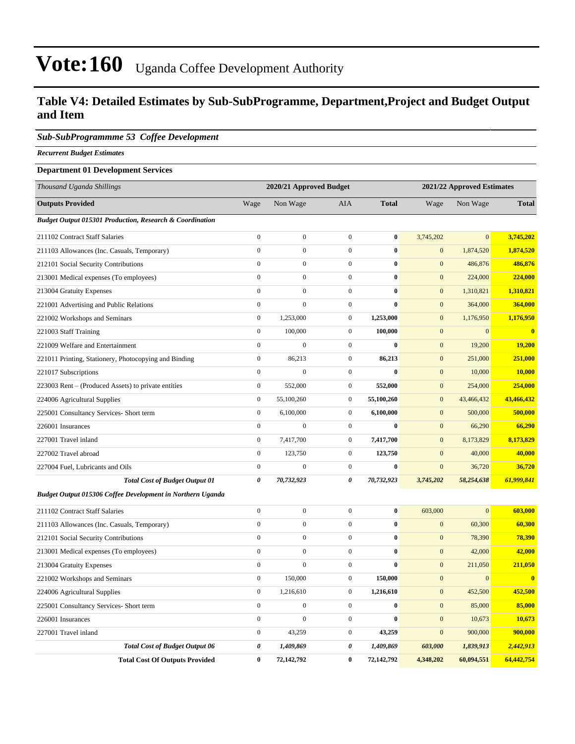### **Table V4: Detailed Estimates by Sub-SubProgramme, Department,Project and Budget Output and Item**

#### *Sub-SubProgrammme 53 Coffee Development*

*Recurrent Budget Estimates*

#### **Department 01 Development Services**

| Thousand Uganda Shillings                                           |                       | 2020/21 Approved Budget |                  |              |                  | 2021/22 Approved Estimates |              |
|---------------------------------------------------------------------|-----------------------|-------------------------|------------------|--------------|------------------|----------------------------|--------------|
| <b>Outputs Provided</b>                                             | Wage                  | Non Wage                | AIA              | <b>Total</b> | Wage             | Non Wage                   | <b>Total</b> |
| <b>Budget Output 015301 Production, Research &amp; Coordination</b> |                       |                         |                  |              |                  |                            |              |
| 211102 Contract Staff Salaries                                      | $\mathbf{0}$          | $\boldsymbol{0}$        | $\overline{0}$   | $\bf{0}$     | 3,745,202        | $\mathbf{0}$               | 3,745,202    |
| 211103 Allowances (Inc. Casuals, Temporary)                         | $\mathbf{0}$          | $\mathbf{0}$            | $\overline{0}$   | $\bf{0}$     | $\mathbf{0}$     | 1,874,520                  | 1,874,520    |
| 212101 Social Security Contributions                                | $\boldsymbol{0}$      | $\boldsymbol{0}$        | $\boldsymbol{0}$ | $\bf{0}$     | $\mathbf{0}$     | 486,876                    | 486,876      |
| 213001 Medical expenses (To employees)                              | $\boldsymbol{0}$      | $\boldsymbol{0}$        | $\boldsymbol{0}$ | $\bf{0}$     | $\mathbf{0}$     | 224,000                    | 224,000      |
| 213004 Gratuity Expenses                                            | $\boldsymbol{0}$      | $\boldsymbol{0}$        | $\overline{0}$   | $\bf{0}$     | $\mathbf{0}$     | 1,310,821                  | 1,310,821    |
| 221001 Advertising and Public Relations                             | $\boldsymbol{0}$      | $\boldsymbol{0}$        | $\overline{0}$   | $\bf{0}$     | $\mathbf{0}$     | 364,000                    | 364,000      |
| 221002 Workshops and Seminars                                       | $\boldsymbol{0}$      | 1,253,000               | $\overline{0}$   | 1,253,000    | $\mathbf{0}$     | 1,176,950                  | 1,176,950    |
| 221003 Staff Training                                               | $\boldsymbol{0}$      | 100,000                 | $\overline{0}$   | 100,000      | $\mathbf{0}$     | $\mathbf{0}$               | $\bf{0}$     |
| 221009 Welfare and Entertainment                                    | $\mathbf{0}$          | $\boldsymbol{0}$        | $\overline{0}$   | $\bf{0}$     | $\mathbf{0}$     | 19,200                     | 19,200       |
| 221011 Printing, Stationery, Photocopying and Binding               | $\mathbf{0}$          | 86,213                  | $\overline{0}$   | 86,213       | $\mathbf{0}$     | 251,000                    | 251,000      |
| 221017 Subscriptions                                                | $\mathbf{0}$          | $\boldsymbol{0}$        | $\overline{0}$   | $\bf{0}$     | $\mathbf{0}$     | 10,000                     | 10,000       |
| 223003 Rent – (Produced Assets) to private entities                 | $\mathbf{0}$          | 552,000                 | $\boldsymbol{0}$ | 552,000      | $\boldsymbol{0}$ | 254,000                    | 254,000      |
| 224006 Agricultural Supplies                                        | $\boldsymbol{0}$      | 55,100,260              | $\mathbf{0}$     | 55,100,260   | $\mathbf{0}$     | 43,466,432                 | 43,466,432   |
| 225001 Consultancy Services- Short term                             | $\boldsymbol{0}$      | 6,100,000               | $\overline{0}$   | 6,100,000    | $\mathbf{0}$     | 500,000                    | 500,000      |
| 226001 Insurances                                                   | $\boldsymbol{0}$      | $\boldsymbol{0}$        | $\overline{0}$   | $\bf{0}$     | $\mathbf{0}$     | 66,290                     | 66,290       |
| 227001 Travel inland                                                | $\mathbf{0}$          | 7,417,700               | $\overline{0}$   | 7,417,700    | $\mathbf{0}$     | 8,173,829                  | 8,173,829    |
| 227002 Travel abroad                                                | $\boldsymbol{0}$      | 123,750                 | $\overline{0}$   | 123,750      | $\mathbf{0}$     | 40,000                     | 40,000       |
| 227004 Fuel, Lubricants and Oils                                    | $\boldsymbol{0}$      | $\boldsymbol{0}$        | $\overline{0}$   | $\bf{0}$     | $\mathbf{0}$     | 36,720                     | 36,720       |
| <b>Total Cost of Budget Output 01</b>                               | $\boldsymbol{\theta}$ | 70,732,923              | 0                | 70,732,923   | 3,745,202        | 58,254,638                 | 61,999,841   |
| Budget Output 015306 Coffee Development in Northern Uganda          |                       |                         |                  |              |                  |                            |              |
| 211102 Contract Staff Salaries                                      | $\boldsymbol{0}$      | $\boldsymbol{0}$        | $\boldsymbol{0}$ | $\bf{0}$     | 603,000          | $\mathbf{0}$               | 603,000      |
| 211103 Allowances (Inc. Casuals, Temporary)                         | $\boldsymbol{0}$      | $\boldsymbol{0}$        | $\overline{0}$   | $\bf{0}$     | $\mathbf{0}$     | 60,300                     | 60,300       |
| 212101 Social Security Contributions                                | $\boldsymbol{0}$      | $\boldsymbol{0}$        | $\overline{0}$   | $\bf{0}$     | $\mathbf{0}$     | 78,390                     | 78,390       |
| 213001 Medical expenses (To employees)                              | $\mathbf{0}$          | $\boldsymbol{0}$        | $\overline{0}$   | $\bf{0}$     | $\mathbf{0}$     | 42,000                     | 42,000       |
| 213004 Gratuity Expenses                                            | $\mathbf{0}$          | $\boldsymbol{0}$        | $\overline{0}$   | $\bf{0}$     | $\mathbf{0}$     | 211,050                    | 211,050      |
| 221002 Workshops and Seminars                                       | $\boldsymbol{0}$      | 150,000                 | $\overline{0}$   | 150,000      | $\mathbf{0}$     | $\mathbf{0}$               | $\bf{0}$     |
| 224006 Agricultural Supplies                                        | $\mathbf{0}$          | 1,216,610               | $\overline{0}$   | 1,216,610    | $\mathbf{0}$     | 452,500                    | 452,500      |
| 225001 Consultancy Services- Short term                             | $\mathbf{0}$          | $\mathbf{0}$            | $\overline{0}$   | $\bf{0}$     | $\mathbf{0}$     | 85,000                     | 85,000       |
| 226001 Insurances                                                   | $\boldsymbol{0}$      | $\boldsymbol{0}$        | $\mathbf{0}$     | $\bf{0}$     | $\mathbf{0}$     | 10,673                     | 10,673       |
| 227001 Travel inland                                                | $\boldsymbol{0}$      | 43,259                  | $\boldsymbol{0}$ | 43,259       | $\mathbf{0}$     | 900,000                    | 900,000      |
| <b>Total Cost of Budget Output 06</b>                               | 0                     | 1,409,869               | 0                | 1,409,869    | 603,000          | 1,839,913                  | 2,442,913    |
| <b>Total Cost Of Outputs Provided</b>                               | $\mathbf{0}$          | 72,142,792              | $\bf{0}$         | 72,142,792   | 4,348,202        | 60,094,551                 | 64,442,754   |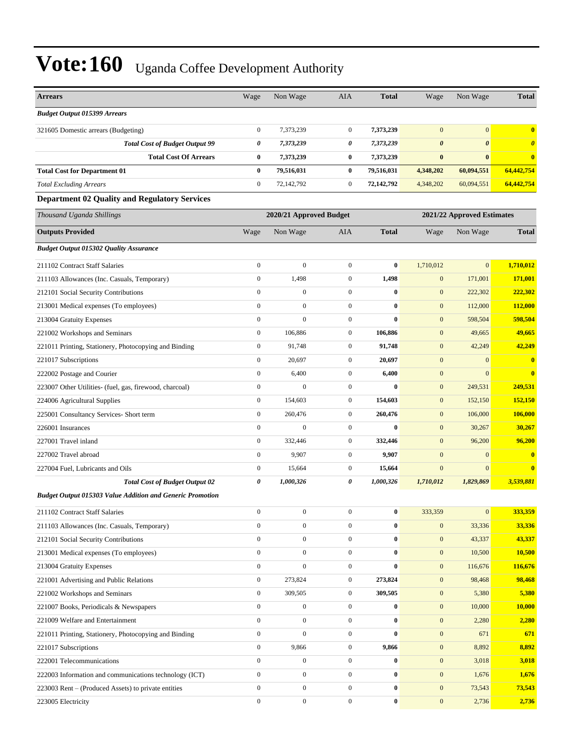| <b>Arrears</b>                                                   | Wage             | Non Wage                | <b>AIA</b>       | <b>Total</b> | Wage                  | Non Wage                   | <b>Total</b>            |
|------------------------------------------------------------------|------------------|-------------------------|------------------|--------------|-----------------------|----------------------------|-------------------------|
| <b>Budget Output 015399 Arrears</b>                              |                  |                         |                  |              |                       |                            |                         |
| 321605 Domestic arrears (Budgeting)                              | $\boldsymbol{0}$ | 7,373,239               | $\boldsymbol{0}$ | 7,373,239    | $\mathbf{0}$          | $\overline{0}$             | $\bf{0}$                |
| <b>Total Cost of Budget Output 99</b>                            | 0                | 7,373,239               | 0                | 7,373,239    | $\boldsymbol{\theta}$ | $\boldsymbol{\theta}$      | $\boldsymbol{\theta}$   |
| <b>Total Cost Of Arrears</b>                                     | $\bf{0}$         | 7,373,239               | 0                | 7,373,239    | $\bf{0}$              | $\bf{0}$                   | $\bf{0}$                |
| <b>Total Cost for Department 01</b>                              | $\bf{0}$         | 79,516,031              | 0                | 79,516,031   | 4,348,202             | 60,094,551                 | 64,442,754              |
| <b>Total Excluding Arrears</b>                                   | $\mathbf{0}$     | 72,142,792              | $\mathbf{0}$     | 72,142,792   | 4,348,202             | 60,094,551                 | 64,442,754              |
| <b>Department 02 Quality and Regulatory Services</b>             |                  |                         |                  |              |                       |                            |                         |
| Thousand Uganda Shillings                                        |                  | 2020/21 Approved Budget |                  |              |                       | 2021/22 Approved Estimates |                         |
| <b>Outputs Provided</b>                                          | Wage             | Non Wage                | <b>AIA</b>       | <b>Total</b> | Wage                  | Non Wage                   | <b>Total</b>            |
| <b>Budget Output 015302 Quality Assurance</b>                    |                  |                         |                  |              |                       |                            |                         |
| 211102 Contract Staff Salaries                                   | $\boldsymbol{0}$ | $\overline{0}$          | $\boldsymbol{0}$ | $\bf{0}$     | 1,710,012             | $\overline{0}$             | 1,710,012               |
| 211103 Allowances (Inc. Casuals, Temporary)                      | $\boldsymbol{0}$ | 1,498                   | $\boldsymbol{0}$ | 1,498        | $\mathbf{0}$          | 171,001                    | 171,001                 |
| 212101 Social Security Contributions                             | $\boldsymbol{0}$ | $\boldsymbol{0}$        | $\boldsymbol{0}$ | $\bf{0}$     | $\mathbf{0}$          | 222,302                    | 222,302                 |
| 213001 Medical expenses (To employees)                           | $\mathbf{0}$     | $\overline{0}$          | $\boldsymbol{0}$ | $\bf{0}$     | $\mathbf{0}$          | 112,000                    | 112,000                 |
| 213004 Gratuity Expenses                                         | $\mathbf{0}$     | $\overline{0}$          | $\overline{0}$   | $\bf{0}$     | $\mathbf{0}$          | 598,504                    | 598,504                 |
| 221002 Workshops and Seminars                                    | $\mathbf{0}$     | 106,886                 | $\boldsymbol{0}$ | 106,886      | $\mathbf{0}$          | 49,665                     | 49,665                  |
| 221011 Printing, Stationery, Photocopying and Binding            | $\boldsymbol{0}$ | 91,748                  | $\mathbf{0}$     | 91,748       | $\mathbf{0}$          | 42,249                     | 42,249                  |
| 221017 Subscriptions                                             | $\boldsymbol{0}$ | 20,697                  | $\mathbf{0}$     | 20,697       | $\mathbf{0}$          | $\mathbf{0}$               | $\bf{0}$                |
| 222002 Postage and Courier                                       | $\mathbf{0}$     | 6,400                   | $\boldsymbol{0}$ | 6,400        | $\mathbf{0}$          | $\mathbf{0}$               | $\overline{\mathbf{0}}$ |
| 223007 Other Utilities- (fuel, gas, firewood, charcoal)          | $\mathbf{0}$     | $\mathbf{0}$            | $\boldsymbol{0}$ | $\mathbf{0}$ | $\mathbf{0}$          | 249,531                    | 249,531                 |
| 224006 Agricultural Supplies                                     | $\mathbf{0}$     | 154,603                 | $\boldsymbol{0}$ | 154,603      | $\mathbf{0}$          | 152,150                    | 152,150                 |
| 225001 Consultancy Services- Short term                          | $\boldsymbol{0}$ | 260,476                 | $\mathbf{0}$     | 260,476      | $\mathbf{0}$          | 106,000                    | 106,000                 |
| 226001 Insurances                                                | $\boldsymbol{0}$ | $\boldsymbol{0}$        | $\mathbf{0}$     | $\bf{0}$     | $\mathbf{0}$          | 30,267                     | 30,267                  |
| 227001 Travel inland                                             | $\mathbf{0}$     | 332,446                 | $\boldsymbol{0}$ | 332,446      | $\mathbf{0}$          | 96,200                     | 96,200                  |
| 227002 Travel abroad                                             | $\mathbf{0}$     | 9,907                   | $\boldsymbol{0}$ | 9,907        | $\mathbf{0}$          | $\mathbf{0}$               | $\overline{\mathbf{0}}$ |
| 227004 Fuel, Lubricants and Oils                                 | $\boldsymbol{0}$ | 15,664                  | $\boldsymbol{0}$ | 15,664       | $\mathbf{0}$          | $\boldsymbol{0}$           | $\bf{0}$                |
| <b>Total Cost of Budget Output 02</b>                            | 0                | 1,000,326               | 0                | 1,000,326    | 1,710,012             | 1,829,869                  | 3,539,881               |
| <b>Budget Output 015303 Value Addition and Generic Promotion</b> |                  |                         |                  |              |                       |                            |                         |
| 211102 Contract Staff Salaries                                   | $\boldsymbol{0}$ | $\boldsymbol{0}$        | $\boldsymbol{0}$ | $\bf{0}$     | 333,359               | $\mathbf{0}$               | 333,359                 |
| 211103 Allowances (Inc. Casuals, Temporary)                      | $\mathbf{0}$     | $\boldsymbol{0}$        | $\boldsymbol{0}$ | $\bf{0}$     | $\boldsymbol{0}$      | 33,336                     | 33,336                  |
| 212101 Social Security Contributions                             | $\boldsymbol{0}$ | $\boldsymbol{0}$        | $\boldsymbol{0}$ | $\bf{0}$     | $\mathbf{0}$          | 43,337                     | 43,337                  |
| 213001 Medical expenses (To employees)                           | $\boldsymbol{0}$ | $\boldsymbol{0}$        | $\boldsymbol{0}$ | $\bf{0}$     | $\mathbf{0}$          | 10,500                     | 10,500                  |
| 213004 Gratuity Expenses                                         | $\boldsymbol{0}$ | $\boldsymbol{0}$        | $\boldsymbol{0}$ | $\bf{0}$     | $\boldsymbol{0}$      | 116,676                    | 116,676                 |
| 221001 Advertising and Public Relations                          | $\boldsymbol{0}$ | 273,824                 | $\boldsymbol{0}$ | 273,824      | $\mathbf{0}$          | 98,468                     | 98,468                  |
| 221002 Workshops and Seminars                                    | $\boldsymbol{0}$ | 309,505                 | $\boldsymbol{0}$ | 309,505      | $\boldsymbol{0}$      | 5,380                      | 5,380                   |
| 221007 Books, Periodicals & Newspapers                           | $\boldsymbol{0}$ | $\overline{0}$          | $\boldsymbol{0}$ | $\bf{0}$     | $\mathbf{0}$          | 10,000                     | 10,000                  |
| 221009 Welfare and Entertainment                                 | $\boldsymbol{0}$ | $\boldsymbol{0}$        | $\boldsymbol{0}$ | $\bf{0}$     | $\mathbf{0}$          | 2,280                      | 2,280                   |
| 221011 Printing, Stationery, Photocopying and Binding            | $\boldsymbol{0}$ | $\overline{0}$          | $\boldsymbol{0}$ | $\bf{0}$     | $\boldsymbol{0}$      | 671                        | 671                     |
| 221017 Subscriptions                                             | $\boldsymbol{0}$ | 9,866                   | $\boldsymbol{0}$ | 9,866        | $\mathbf{0}$          | 8,892                      | 8,892                   |
| 222001 Telecommunications                                        | $\boldsymbol{0}$ | $\boldsymbol{0}$        | $\boldsymbol{0}$ | $\bf{0}$     | $\boldsymbol{0}$      | 3,018                      | 3,018                   |
| 222003 Information and communications technology (ICT)           | $\boldsymbol{0}$ | $\boldsymbol{0}$        | $\boldsymbol{0}$ | $\bf{0}$     | $\mathbf{0}$          | 1,676                      | 1,676                   |
| 223003 Rent – (Produced Assets) to private entities              | $\boldsymbol{0}$ | $\boldsymbol{0}$        | $\boldsymbol{0}$ | $\bf{0}$     | $\mathbf{0}$          | 73,543                     | 73,543                  |
| 223005 Electricity                                               | $\boldsymbol{0}$ | $\boldsymbol{0}$        | $\boldsymbol{0}$ | $\bf{0}$     | $\boldsymbol{0}$      | 2,736                      | 2,736                   |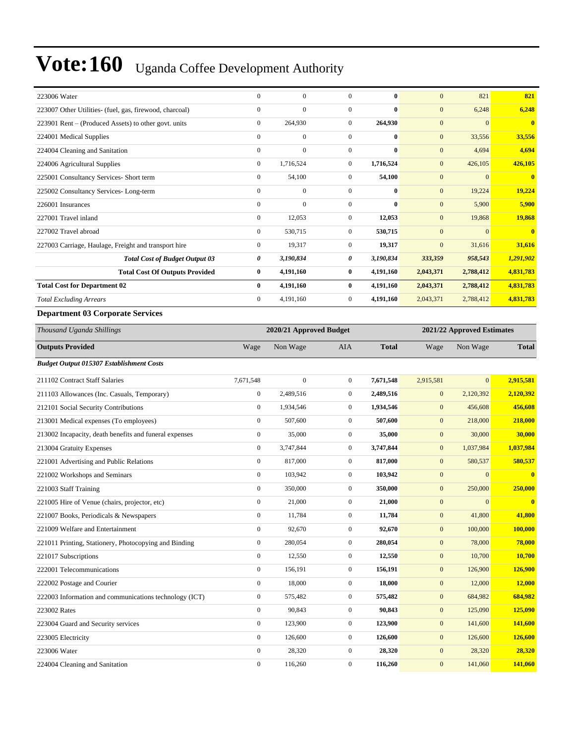| 223006 Water                                            | $\boldsymbol{0}$ | $\boldsymbol{0}$        | $\mathbf{0}$     | $\bf{0}$     | $\mathbf{0}$     | 821                        | 821            |  |  |
|---------------------------------------------------------|------------------|-------------------------|------------------|--------------|------------------|----------------------------|----------------|--|--|
| 223007 Other Utilities- (fuel, gas, firewood, charcoal) | $\boldsymbol{0}$ | $\overline{0}$          | $\boldsymbol{0}$ | $\bf{0}$     | $\mathbf{0}$     | 6,248                      | 6,248          |  |  |
| 223901 Rent – (Produced Assets) to other govt. units    | $\boldsymbol{0}$ | 264,930                 | $\boldsymbol{0}$ | 264,930      | $\mathbf{0}$     | $\overline{0}$             | $\bf{0}$       |  |  |
| 224001 Medical Supplies                                 | $\boldsymbol{0}$ | $\boldsymbol{0}$        | $\boldsymbol{0}$ | $\bf{0}$     | $\mathbf{0}$     | 33,556                     | 33,556         |  |  |
| 224004 Cleaning and Sanitation                          | $\boldsymbol{0}$ | $\overline{0}$          | $\boldsymbol{0}$ | $\bf{0}$     | $\boldsymbol{0}$ | 4,694                      | 4,694          |  |  |
| 224006 Agricultural Supplies                            | $\boldsymbol{0}$ | 1,716,524               | $\boldsymbol{0}$ | 1,716,524    | $\mathbf{0}$     | 426,105                    | 426,105        |  |  |
| 225001 Consultancy Services- Short term                 | $\boldsymbol{0}$ | 54,100                  | $\boldsymbol{0}$ | 54,100       | $\mathbf{0}$     | $\overline{0}$             | $\bf{0}$       |  |  |
| 225002 Consultancy Services-Long-term                   | $\boldsymbol{0}$ | $\boldsymbol{0}$        | $\boldsymbol{0}$ | $\bf{0}$     | $\mathbf{0}$     | 19,224                     | 19,224         |  |  |
| 226001 Insurances                                       | $\boldsymbol{0}$ | 0                       | $\boldsymbol{0}$ | $\bf{0}$     | $\mathbf{0}$     | 5,900                      | 5,900          |  |  |
| 227001 Travel inland                                    | $\boldsymbol{0}$ | 12,053                  | $\boldsymbol{0}$ | 12,053       | $\mathbf{0}$     | 19,868                     | 19,868         |  |  |
| 227002 Travel abroad                                    | $\boldsymbol{0}$ | 530,715                 | $\boldsymbol{0}$ | 530,715      | $\mathbf{0}$     | $\overline{0}$             | $\bf{0}$       |  |  |
| 227003 Carriage, Haulage, Freight and transport hire    | $\boldsymbol{0}$ | 19,317                  | $\boldsymbol{0}$ | 19,317       | $\mathbf{0}$     | 31,616                     | 31,616         |  |  |
| <b>Total Cost of Budget Output 03</b>                   | 0                | 3,190,834               | 0                | 3,190,834    | 333,359          | 958,543                    | 1,291,902      |  |  |
| <b>Total Cost Of Outputs Provided</b>                   | $\bf{0}$         | 4,191,160               | 0                | 4,191,160    | 2,043,371        | 2,788,412                  | 4,831,783      |  |  |
| <b>Total Cost for Department 02</b>                     | $\bf{0}$         | 4,191,160               | $\bf{0}$         | 4,191,160    | 2,043,371        | 2,788,412                  | 4,831,783      |  |  |
| <b>Total Excluding Arrears</b>                          | $\boldsymbol{0}$ | 4,191,160               | $\boldsymbol{0}$ | 4,191,160    | 2,043,371        | 2,788,412                  | 4,831,783      |  |  |
| <b>Department 03 Corporate Services</b>                 |                  |                         |                  |              |                  |                            |                |  |  |
| Thousand Uganda Shillings                               |                  | 2020/21 Approved Budget |                  |              |                  | 2021/22 Approved Estimates |                |  |  |
| <b>Outputs Provided</b>                                 | Wage             | Non Wage                | <b>AIA</b>       | <b>Total</b> | Wage             | Non Wage                   | <b>Total</b>   |  |  |
| Budget Output 015307 Establishment Costs                |                  |                         |                  |              |                  |                            |                |  |  |
| 211102 Contract Staff Salaries                          | 7,671,548        | $\boldsymbol{0}$        | $\boldsymbol{0}$ | 7,671,548    | 2,915,581        | $\overline{0}$             | 2,915,581      |  |  |
| 211103 Allowances (Inc. Casuals, Temporary)             | $\boldsymbol{0}$ | 2,489,516               | $\boldsymbol{0}$ | 2,489,516    | $\mathbf{0}$     | 2,120,392                  | 2,120,392      |  |  |
| 212101 Social Security Contributions                    | $\boldsymbol{0}$ | 1,934,546               | $\boldsymbol{0}$ | 1,934,546    | $\mathbf{0}$     | 456,608                    | 456,608        |  |  |
| 213001 Medical expenses (To employees)                  | $\boldsymbol{0}$ | 507,600                 | $\boldsymbol{0}$ | 507,600      | $\mathbf{0}$     | 218,000                    | 218,000        |  |  |
| 213002 Incapacity, death benefits and funeral expenses  | $\boldsymbol{0}$ | 35,000                  | $\boldsymbol{0}$ | 35,000       | $\mathbf{0}$     | 30,000                     | 30,000         |  |  |
| 213004 Gratuity Expenses                                | $\boldsymbol{0}$ | 3,747,844               | $\boldsymbol{0}$ | 3,747,844    | $\mathbf{0}$     | 1,037,984                  | 1,037,984      |  |  |
| 221001 Advertising and Public Relations                 | $\boldsymbol{0}$ | 817,000                 | $\boldsymbol{0}$ | 817,000      | $\mathbf{0}$     | 580,537                    | 580,537        |  |  |
| 221002 Workshops and Seminars                           | $\boldsymbol{0}$ | 103,942                 | $\boldsymbol{0}$ | 103,942      | $\boldsymbol{0}$ | $\overline{0}$             | $\bf{0}$       |  |  |
| 221003 Staff Training                                   | $\boldsymbol{0}$ | 350,000                 | $\boldsymbol{0}$ | 350,000      | $\mathbf{0}$     | 250,000                    | 250,000        |  |  |
| 221005 Hire of Venue (chairs, projector, etc)           | $\boldsymbol{0}$ | 21,000                  | $\boldsymbol{0}$ | 21,000       | $\mathbf{0}$     | $\mathbf{0}$               | $\bf{0}$       |  |  |
| 221007 Books, Periodicals & Newspapers                  | $\boldsymbol{0}$ | 11,784                  | $\boldsymbol{0}$ | 11,784       | $\mathbf{0}$     | 41,800                     | 41,800         |  |  |
| 221009 Welfare and Entertainment                        | $\boldsymbol{0}$ | 92,670                  | $\boldsymbol{0}$ | 92,670       | $\mathbf{0}$     | 100,000                    | 100,000        |  |  |
| 221011 Printing, Stationery, Photocopying and Binding   | $\boldsymbol{0}$ | 280,054                 | $\boldsymbol{0}$ | 280,054      | $\mathbf{0}$     | 78,000                     | 78,000         |  |  |
| 221017 Subscriptions                                    | $\boldsymbol{0}$ | 12,550                  | $\boldsymbol{0}$ | 12,550       | $\boldsymbol{0}$ | 10,700                     | <b>10,700</b>  |  |  |
| 222001 Telecommunications                               | $\boldsymbol{0}$ | 156,191                 | $\boldsymbol{0}$ | 156,191      | $\mathbf{0}$     | 126,900                    | 126,900        |  |  |
| 222002 Postage and Courier                              | $\boldsymbol{0}$ | 18,000                  | $\boldsymbol{0}$ | 18,000       | $\mathbf{0}$     | 12,000                     | <b>12,000</b>  |  |  |
| 222003 Information and communications technology (ICT)  | $\boldsymbol{0}$ | 575,482                 | $\boldsymbol{0}$ | 575,482      | $\mathbf{0}$     | 684,982                    | 684,982        |  |  |
| 223002 Rates                                            | $\boldsymbol{0}$ | 90,843                  | $\boldsymbol{0}$ | 90,843       | $\mathbf{0}$     | 125,090                    | 125,090        |  |  |
| 223004 Guard and Security services                      |                  |                         |                  |              |                  |                            |                |  |  |
|                                                         | $\boldsymbol{0}$ | 123,900                 | $\boldsymbol{0}$ | 123,900      | $\mathbf{0}$     | 141,600                    | <b>141,600</b> |  |  |
| 223005 Electricity                                      | $\boldsymbol{0}$ | 126,600                 | $\boldsymbol{0}$ | 126,600      | $\mathbf{0}$     | 126,600                    | 126,600        |  |  |

224004 Cleaning and Sanitation 0 116,260 0 **116,260** 0 141,060 **141,060**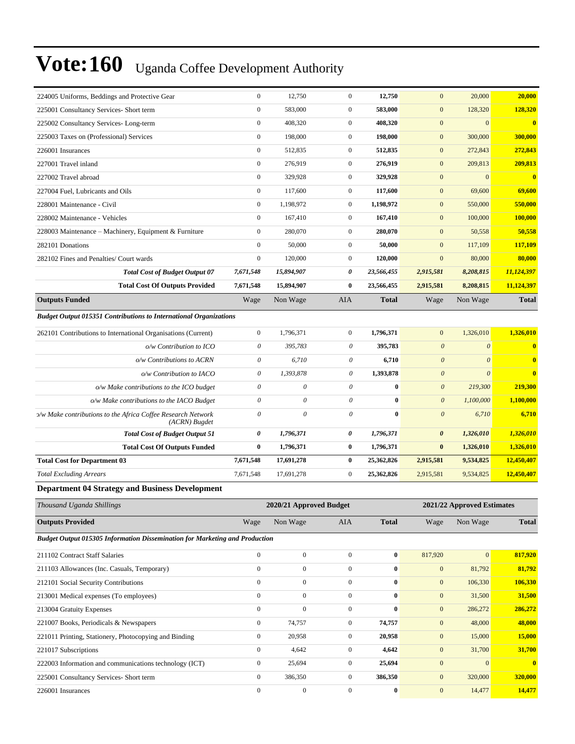| 224005 Uniforms, Beddings and Protective Gear                                 | $\boldsymbol{0}$ | 12,750                    | $\mathbf{0}$   | 12,750       | $\overline{0}$        | 20,000                     | 20,000       |
|-------------------------------------------------------------------------------|------------------|---------------------------|----------------|--------------|-----------------------|----------------------------|--------------|
| 225001 Consultancy Services- Short term                                       | $\overline{0}$   | 583,000                   | $\mathbf{0}$   | 583,000      | $\overline{0}$        | 128,320                    | 128,320      |
| 225002 Consultancy Services-Long-term                                         | $\boldsymbol{0}$ | 408,320                   | $\mathbf{0}$   | 408,320      | $\boldsymbol{0}$      | $\boldsymbol{0}$           | $\bf{0}$     |
| 225003 Taxes on (Professional) Services                                       | $\boldsymbol{0}$ | 198,000                   | $\mathbf{0}$   | 198,000      | $\overline{0}$        | 300,000                    | 300,000      |
| 226001 Insurances                                                             | $\overline{0}$   | 512,835                   | $\overline{0}$ | 512,835      | $\overline{0}$        | 272,843                    | 272,843      |
| 227001 Travel inland                                                          | $\boldsymbol{0}$ | 276,919                   | $\mathbf{0}$   | 276,919      | $\overline{0}$        | 209,813                    | 209,813      |
| 227002 Travel abroad                                                          | $\overline{0}$   | 329,928                   | $\theta$       | 329,928      | $\overline{0}$        | $\mathbf{0}$               | $\bf{0}$     |
| 227004 Fuel, Lubricants and Oils                                              | $\boldsymbol{0}$ | 117,600                   | $\mathbf{0}$   | 117,600      | $\overline{0}$        | 69,600                     | 69,600       |
| 228001 Maintenance - Civil                                                    | $\mathbf{0}$     | 1,198,972                 | $\mathbf{0}$   | 1,198,972    | $\overline{0}$        | 550,000                    | 550,000      |
| 228002 Maintenance - Vehicles                                                 | $\overline{0}$   | 167.410                   | $\mathbf{0}$   | 167,410      | $\overline{0}$        | 100,000                    | 100,000      |
| 228003 Maintenance – Machinery, Equipment & Furniture                         | $\boldsymbol{0}$ | 280,070                   | $\mathbf{0}$   | 280,070      | $\overline{0}$        | 50,558                     | 50,558       |
| 282101 Donations                                                              | $\overline{0}$   | 50,000                    | $\mathbf{0}$   | 50,000       | $\overline{0}$        | 117,109                    | 117,109      |
| 282102 Fines and Penalties/ Court wards                                       | $\boldsymbol{0}$ | 120,000                   | $\mathbf{0}$   | 120,000      | $\overline{0}$        | 80,000                     | 80,000       |
| <b>Total Cost of Budget Output 07</b>                                         | 7,671,548        | 15,894,907                | $\pmb{\theta}$ | 23,566,455   | 2,915,581             | 8,208,815                  | 11,124,397   |
| <b>Total Cost Of Outputs Provided</b>                                         | 7,671,548        | 15,894,907                | $\mathbf{0}$   | 23,566,455   | 2,915,581             | 8,208,815                  | 11,124,397   |
| <b>Outputs Funded</b>                                                         | Wage             | Non Wage                  | AIA            | <b>Total</b> | Wage                  | Non Wage                   | <b>Total</b> |
| <b>Budget Output 015351 Contributions to International Organizations</b>      |                  |                           |                |              |                       |                            |              |
| 262101 Contributions to International Organisations (Current)                 | $\boldsymbol{0}$ | 1,796,371                 | $\mathbf{0}$   | 1,796,371    | $\overline{0}$        | 1,326,010                  | 1,326,010    |
| o/w Contribution to ICO                                                       | $\theta$         | 395,783                   | $\theta$       | 395,783      | $\boldsymbol{\theta}$ | $\mathcal{O}$              | $\bf{0}$     |
| o/w Contributions to ACRN                                                     | $\theta$         | 6,710                     | 0              | 6,710        | $\boldsymbol{\theta}$ | $\theta$                   | $\mathbf{0}$ |
| o/w Contribution to IACO                                                      | $\theta$         | 1,393,878                 | $\theta$       | 1,393,878    | $\boldsymbol{\theta}$ | $\theta$                   | $\bf{0}$     |
| o/w Make contributions to the ICO budget                                      | $\theta$         | $\theta$                  | $\theta$       | $\bf{0}$     | $\boldsymbol{\theta}$ | 219,300                    | 219,300      |
| o/w Make contributions to the IACO Budget                                     | $\mathcal O$     | $\boldsymbol{\mathit{0}}$ | $\theta$       | $\bf{0}$     | $\boldsymbol{0}$      | 1,100,000                  | 1,100,000    |
| x/w Make contributions to the Africa Coffee Research Network<br>(ACRN) Bugdet | $\theta$         | $\theta$                  | $\theta$       | $\mathbf{0}$ | $\theta$              | 6,710                      | 6,710        |
| <b>Total Cost of Budget Output 51</b>                                         | $\pmb{\theta}$   | 1,796,371                 | 0              | 1,796,371    | $\boldsymbol{\theta}$ | 1,326,010                  | 1,326,010    |
|                                                                               |                  |                           |                |              |                       |                            |              |
| <b>Total Cost Of Outputs Funded</b>                                           | $\bf{0}$         | 1,796,371                 | $\bf{0}$       | 1,796,371    | $\bf{0}$              | 1,326,010                  | 1,326,010    |
| <b>Total Cost for Department 03</b>                                           | 7,671,548        | 17,691,278                | $\bf{0}$       | 25,362,826   | 2,915,581             | 9,534,825                  | 12,450,407   |
| <b>Total Excluding Arrears</b>                                                | 7,671,548        | 17,691,278                | $\mathbf{0}$   | 25,362,826   | 2,915,581             | 9,534,825                  | 12,450,407   |
| <b>Department 04 Strategy and Business Development</b>                        |                  |                           |                |              |                       |                            |              |
| Thousand Uganda Shillings                                                     |                  | 2020/21 Approved Budget   |                |              |                       | 2021/22 Approved Estimates |              |
| <b>Outputs Provided</b>                                                       | Wage             | Non Wage                  | <b>AIA</b>     | <b>Total</b> | Wage                  | Non Wage                   | <b>Total</b> |

*Budget Output 015305 Information Dissemination for Marketing and Production*

| 211102 Contract Staff Salaries                         | $\mathbf{0}$   | $\mathbf{0}$ | $\Omega$       | $\bf{0}$     | 817,920      | $\mathbf{0}$ | 817,920      |
|--------------------------------------------------------|----------------|--------------|----------------|--------------|--------------|--------------|--------------|
| 211103 Allowances (Inc. Casuals, Temporary)            | $\mathbf{0}$   | $\mathbf{0}$ | $\Omega$       | $\bf{0}$     | $\mathbf{0}$ | 81,792       | 81,792       |
| 212101 Social Security Contributions                   | $\mathbf{0}$   | $\mathbf{0}$ | $\mathbf{0}$   | $\bf{0}$     | $\mathbf{0}$ | 106,330      | 106,330      |
| 213001 Medical expenses (To employees)                 | $\mathbf{0}$   | $\mathbf{0}$ | $\mathbf{0}$   | $\bf{0}$     | $\mathbf{0}$ | 31,500       | 31,500       |
| 213004 Gratuity Expenses                               | $\mathbf{0}$   | $\mathbf{0}$ | $\Omega$       | $\mathbf{0}$ | $\mathbf{0}$ | 286,272      | 286,272      |
| 221007 Books, Periodicals & Newspapers                 | $\mathbf{0}$   | 74,757       | $\mathbf{0}$   | 74,757       | $\mathbf{0}$ | 48,000       | 48,000       |
| 221011 Printing, Stationery, Photocopying and Binding  | $\overline{0}$ | 20,958       | $\overline{0}$ | 20,958       | $\mathbf{0}$ | 15,000       | 15,000       |
| 221017 Subscriptions                                   | $\mathbf{0}$   | 4,642        | $\mathbf{0}$   | 4,642        | $\mathbf{0}$ | 31,700       | 31,700       |
| 222003 Information and communications technology (ICT) | $\overline{0}$ | 25,694       | $\mathbf{0}$   | 25,694       | $\mathbf{0}$ | $\Omega$     | $\mathbf{0}$ |
| 225001 Consultancy Services- Short term                | $\overline{0}$ | 386,350      | $\overline{0}$ | 386,350      | $\mathbf{0}$ | 320,000      | 320,000      |
| 226001 Insurances                                      | $\Omega$       | $\mathbf{0}$ | $\Omega$       | $\bf{0}$     | $\mathbf{0}$ | 14,477       | 14,477       |